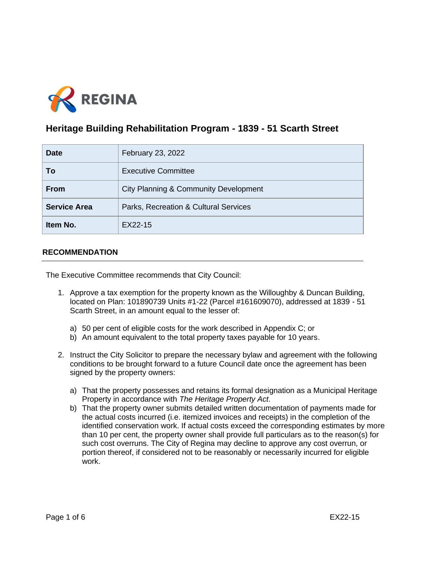

# **Heritage Building Rehabilitation Program - 1839 - 51 Scarth Street**

| <b>Date</b>         | February 23, 2022                     |
|---------------------|---------------------------------------|
| To                  | <b>Executive Committee</b>            |
| <b>From</b>         | City Planning & Community Development |
| <b>Service Area</b> | Parks, Recreation & Cultural Services |
| Item No.            | EX22-15                               |

# **RECOMMENDATION**

The Executive Committee recommends that City Council:

- 1. Approve a tax exemption for the property known as the Willoughby & Duncan Building, located on Plan: 101890739 Units #1-22 (Parcel #161609070), addressed at 1839 - 51 Scarth Street, in an amount equal to the lesser of:
	- a) 50 per cent of eligible costs for the work described in Appendix C; or
	- b) An amount equivalent to the total property taxes payable for 10 years.
- 2. Instruct the City Solicitor to prepare the necessary bylaw and agreement with the following conditions to be brought forward to a future Council date once the agreement has been signed by the property owners:
	- a) That the property possesses and retains its formal designation as a Municipal Heritage Property in accordance with *The Heritage Property Act*.
	- b) That the property owner submits detailed written documentation of payments made for the actual costs incurred (i.e. itemized invoices and receipts) in the completion of the identified conservation work. If actual costs exceed the corresponding estimates by more than 10 per cent, the property owner shall provide full particulars as to the reason(s) for such cost overruns. The City of Regina may decline to approve any cost overrun, or portion thereof, if considered not to be reasonably or necessarily incurred for eligible work.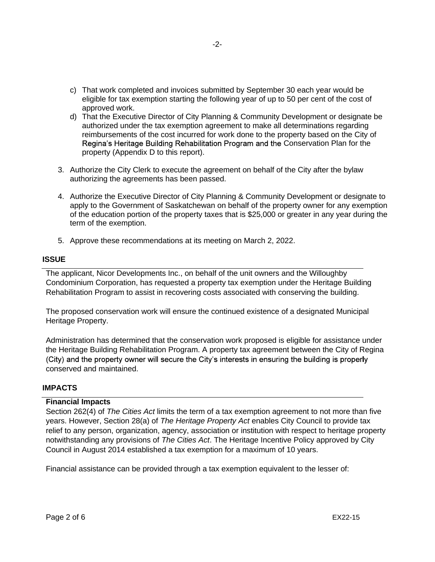- c) That work completed and invoices submitted by September 30 each year would be eligible for tax exemption starting the following year of up to 50 per cent of the cost of approved work.
- d) That the Executive Director of City Planning & Community Development or designate be authorized under the tax exemption agreement to make all determinations regarding reimbursements of the cost incurred for work done to the property based on the City of Regina's Heritage Building Rehabilitation Program and the Conservation Plan for the property (Appendix D to this report).
- 3. Authorize the City Clerk to execute the agreement on behalf of the City after the bylaw authorizing the agreements has been passed.
- 4. Authorize the Executive Director of City Planning & Community Development or designate to apply to the Government of Saskatchewan on behalf of the property owner for any exemption of the education portion of the property taxes that is \$25,000 or greater in any year during the term of the exemption.
- 5. Approve these recommendations at its meeting on March 2, 2022.

#### **ISSUE**

The applicant, Nicor Developments Inc., on behalf of the unit owners and the Willoughby Condominium Corporation, has requested a property tax exemption under the Heritage Building Rehabilitation Program to assist in recovering costs associated with conserving the building.

The proposed conservation work will ensure the continued existence of a designated Municipal Heritage Property.

Administration has determined that the conservation work proposed is eligible for assistance under the Heritage Building Rehabilitation Program. A property tax agreement between the City of Regina (City) and the property owner will secure the City's interests in ensuring the building is properly conserved and maintained.

# **IMPACTS**

#### **Financial Impacts**

Section 262(4) of *The Cities Act* limits the term of a tax exemption agreement to not more than five years. However, Section 28(a) of *The Heritage Property Act* enables City Council to provide tax relief to any person, organization, agency, association or institution with respect to heritage property notwithstanding any provisions of *The Cities Act*. The Heritage Incentive Policy approved by City Council in August 2014 established a tax exemption for a maximum of 10 years.

Financial assistance can be provided through a tax exemption equivalent to the lesser of: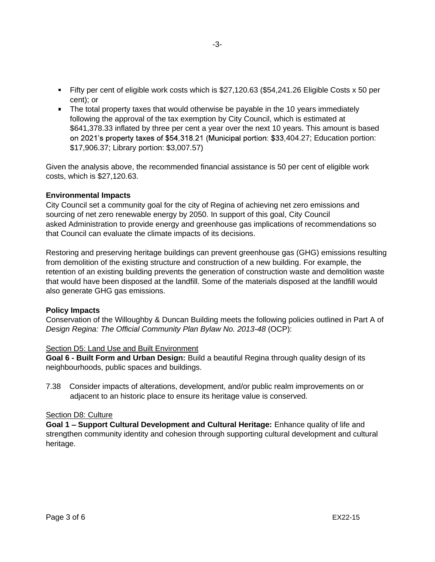- Fifty per cent of eligible work costs which is \$27,120.63 (\$54,241.26 Eligible Costs x 50 per cent); or
- The total property taxes that would otherwise be payable in the 10 years immediately following the approval of the tax exemption by City Council, which is estimated at \$641,378.33 inflated by three per cent a year over the next 10 years. This amount is based on 2021's property taxes of \$54,318.21 (Municipal portion: \$33,404.27; Education portion: \$17,906.37; Library portion: \$3,007.57)

Given the analysis above, the recommended financial assistance is 50 per cent of eligible work costs, which is \$27,120.63.

# **Environmental Impacts**

City Council set a community goal for the city of Regina of achieving net zero emissions and sourcing of net zero renewable energy by 2050. In support of this goal, City Council asked Administration to provide energy and greenhouse gas implications of recommendations so that Council can evaluate the climate impacts of its decisions.

Restoring and preserving heritage buildings can prevent greenhouse gas (GHG) emissions resulting from demolition of the existing structure and construction of a new building. For example, the retention of an existing building prevents the generation of construction waste and demolition waste that would have been disposed at the landfill. Some of the materials disposed at the landfill would also generate GHG gas emissions.

#### **Policy Impacts**

Conservation of the Willoughby & Duncan Building meets the following policies outlined in Part A of *Design Regina: The Official Community Plan Bylaw No. 2013-48* (OCP):

# Section D5: Land Use and Built Environment

**Goal 6 - Built Form and Urban Design:** Build a beautiful Regina through quality design of its neighbourhoods, public spaces and buildings.

7.38 Consider impacts of alterations, development, and/or public realm improvements on or adjacent to an historic place to ensure its heritage value is conserved.

#### Section D8: Culture

**Goal 1 – Support Cultural Development and Cultural Heritage: Enhance quality of life and** strengthen community identity and cohesion through supporting cultural development and cultural heritage.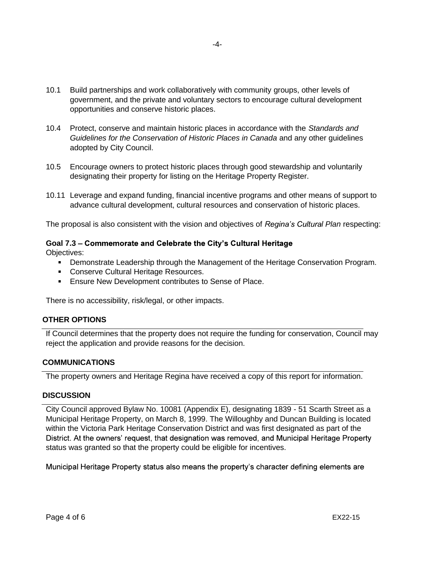- 10.1 Build partnerships and work collaboratively with community groups, other levels of government, and the private and voluntary sectors to encourage cultural development opportunities and conserve historic places.
- 10.4 Protect, conserve and maintain historic places in accordance with the *Standards and Guidelines for the Conservation of Historic Places in Canada* and any other guidelines adopted by City Council.
- 10.5 Encourage owners to protect historic places through good stewardship and voluntarily designating their property for listing on the Heritage Property Register.
- 10.11 Leverage and expand funding, financial incentive programs and other means of support to advance cultural development, cultural resources and conservation of historic places.

The proposal is also consistent with the vision and objectives of *Regina's Cultural Plan* respecting:

# Goal 7.3 – Commemorate and Celebrate the City's Cultural Heritage

Objectives:

- **Demonstrate Leadership through the Management of the Heritage Conservation Program.**
- Conserve Cultural Heritage Resources.
- **Ensure New Development contributes to Sense of Place.**

There is no accessibility, risk/legal, or other impacts.

# **OTHER OPTIONS**

If Council determines that the property does not require the funding for conservation, Council may reject the application and provide reasons for the decision.

# **COMMUNICATIONS**

The property owners and Heritage Regina have received a copy of this report for information.

#### **DISCUSSION**

City Council approved Bylaw No. 10081 (Appendix E), designating 1839 - 51 Scarth Street as a Municipal Heritage Property, on March 8, 1999. The Willoughby and Duncan Building is located within the Victoria Park Heritage Conservation District and was first designated as part of the District. At the owners' request, that designation was removed, and Municipal Heritage Property status was granted so that the property could be eligible for incentives.

Municipal Heritage Property status also means the property's character defining elements are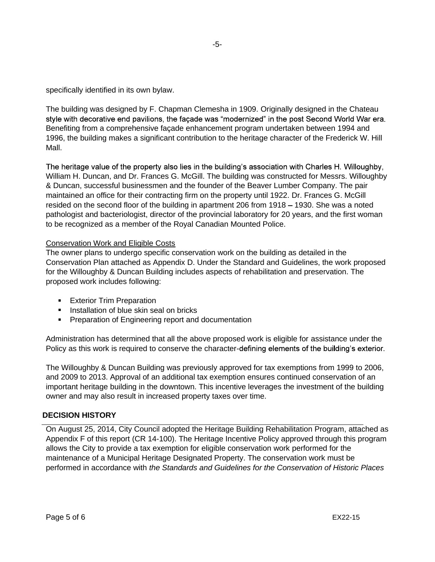specifically identified in its own bylaw.

The building was designed by F. Chapman Clemesha in 1909. Originally designed in the Chateau style with decorative end pavilions, the facade was "modernized" in the post Second World War era. Benefiting from a comprehensive façade enhancement program undertaken between 1994 and 1996, the building makes a significant contribution to the heritage character of the Frederick W. Hill Mall.

The heritage value of the property also lies in the building's association with Charles H. Willoughby, William H. Duncan, and Dr. Frances G. McGill. The building was constructed for Messrs. Willoughby & Duncan, successful businessmen and the founder of the Beaver Lumber Company. The pair maintained an office for their contracting firm on the property until 1922. Dr. Frances G. McGill resided on the second floor of the building in apartment 206 from 1918 – 1930. She was a noted pathologist and bacteriologist, director of the provincial laboratory for 20 years, and the first woman to be recognized as a member of the Royal Canadian Mounted Police.

# Conservation Work and Eligible Costs

The owner plans to undergo specific conservation work on the building as detailed in the Conservation Plan attached as Appendix D. Under the Standard and Guidelines, the work proposed for the Willoughby & Duncan Building includes aspects of rehabilitation and preservation. The proposed work includes following:

- **Exterior Trim Preparation**
- **Installation of blue skin seal on bricks**
- **Preparation of Engineering report and documentation**

Administration has determined that all the above proposed work is eligible for assistance under the Policy as this work is required to conserve the character-defining elements of the building's exterior.

The Willoughby & Duncan Building was previously approved for tax exemptions from 1999 to 2006, and 2009 to 2013. Approval of an additional tax exemption ensures continued conservation of an important heritage building in the downtown. This incentive leverages the investment of the building owner and may also result in increased property taxes over time.

#### **DECISION HISTORY**

On August 25, 2014, City Council adopted the Heritage Building Rehabilitation Program, attached as Appendix F of this report (CR 14-100). The Heritage Incentive Policy approved through this program allows the City to provide a tax exemption for eligible conservation work performed for the maintenance of a Municipal Heritage Designated Property. The conservation work must be performed in accordance with *the Standards and Guidelines for the Conservation of Historic Places*